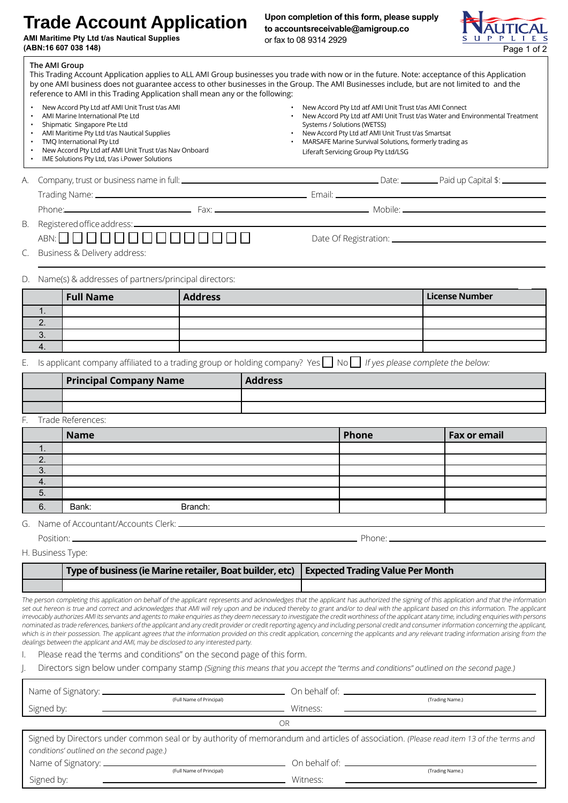## **Trade Account Application**

**AMI Maritime Pty Ltd t/as Nautical Supplies (ABN:16 607 038 148)** Page 1 of 2

**Upon completion of this form, please supply to accountsreceivable@amigroup.co** or fax to 08 9314 2929



| The AMI Group                       | reference to AMI in this Trading Application shall mean any or the following:                                                                                                                                                                                                                             |                | This Trading Account Application applies to ALL AMI Group businesses you trade with now or in the future. Note: acceptance of this Application<br>by one AMI business does not guarantee access to other businesses in the Group. The AMI Businesses include, but are not limited to and the |                                                                              |
|-------------------------------------|-----------------------------------------------------------------------------------------------------------------------------------------------------------------------------------------------------------------------------------------------------------------------------------------------------------|----------------|----------------------------------------------------------------------------------------------------------------------------------------------------------------------------------------------------------------------------------------------------------------------------------------------|------------------------------------------------------------------------------|
| $\bullet$<br>$\bullet$<br>$\bullet$ | New Accord Pty Ltd atf AMI Unit Trust t/as AMI<br>AMI Marine International Pte Ltd<br>Shipmatic Singapore Pte Ltd<br>AMI Maritime Pty Ltd t/as Nautical Supplies<br>TMQ International Pty Ltd<br>New Accord Pty Ltd atf AMI Unit Trust t/as Nav Onboard<br>IME Solutions Pty Ltd, t/as i. Power Solutions |                | New Accord Pty Ltd atf AMI Unit Trust t/as AMI Connect<br>Systems / Solutions (WETSS)<br>New Accord Pty Ltd atf AMI Unit Trust t/as Smartsat<br>MARSAFE Marine Survival Solutions, formerly trading as<br>Liferaft Servicing Group Pty Ltd/LSG                                               | New Accord Pty Ltd atf AMI Unit Trust t/as Water and Environmental Treatment |
| А.                                  |                                                                                                                                                                                                                                                                                                           |                |                                                                                                                                                                                                                                                                                              |                                                                              |
|                                     |                                                                                                                                                                                                                                                                                                           |                |                                                                                                                                                                                                                                                                                              |                                                                              |
|                                     |                                                                                                                                                                                                                                                                                                           |                | Phone: Mobile: 2004 Mobile: 2006) Mobile: 2006 Mobile: 2006 Mobile: 2006 Mobile: 2006 Mobile: 2006 Mobile: 2006 Mobile: 2006 Mobile: 2006 Mobile: 2006 Mobile: 2006 Mobile: 2006 Mobile: 2006 Mobile: 2006 Mobile: 2006 Mobile                                                               |                                                                              |
|                                     |                                                                                                                                                                                                                                                                                                           |                |                                                                                                                                                                                                                                                                                              |                                                                              |
|                                     | ABN: 00000000000000                                                                                                                                                                                                                                                                                       |                |                                                                                                                                                                                                                                                                                              |                                                                              |
|                                     | Business & Delivery address:                                                                                                                                                                                                                                                                              |                |                                                                                                                                                                                                                                                                                              |                                                                              |
|                                     | Name(s) & addresses of partners/principal directors:                                                                                                                                                                                                                                                      |                |                                                                                                                                                                                                                                                                                              |                                                                              |
|                                     | <b>Full Name</b>                                                                                                                                                                                                                                                                                          | <b>Address</b> |                                                                                                                                                                                                                                                                                              | <b>License Number</b>                                                        |
| $\mathbf{1}$ .                      |                                                                                                                                                                                                                                                                                                           |                |                                                                                                                                                                                                                                                                                              |                                                                              |
| 2.                                  |                                                                                                                                                                                                                                                                                                           |                |                                                                                                                                                                                                                                                                                              |                                                                              |

E. Is applicant company affiliated to a trading group or holding company? Yes  $\Box$  No  $\Box$  If yes please complete the below:

|                | <b>Principal Company Name</b> | <b>Address</b> |       |                     |
|----------------|-------------------------------|----------------|-------|---------------------|
|                |                               |                |       |                     |
|                |                               |                |       |                     |
|                | F. Trade References:          |                |       |                     |
|                | <b>Name</b>                   |                | Phone | <b>Fax or email</b> |
| ι.             |                               |                |       |                     |
| 2.             |                               |                |       |                     |
| 3.             |                               |                |       |                     |
| $\mathbf{A}$ . |                               |                |       |                     |
| 5.             |                               |                |       |                     |

G. Name of Accountant/Accounts Clerk:

6. Bank: Branch:

Position: Phone:

H. Business Type:

3. 4.

| Type of business (ie Marine retailer, Boat builder, etc)   Expected Trading Value Per Month |  |
|---------------------------------------------------------------------------------------------|--|
|                                                                                             |  |

The person completing this application on behalf of the applicant represents and acknowledges that the applicant has authorized the signing of this application and that the information set out hereon is true and correct and acknowledges that AMI will rely upon and be induced thereby to grant and/or to deal with the applicant based on this information. The applicant irrevocably authorizes AMI its servants and agents to make enquiries as they deem necessary to investigate the credit worthiness of the applicant atany time, including enquiries with persons nominated as trade references, bankers of the applicant and any credit provider or credit reporting agency and including personal credit and consumer information concerning the applicant, which is in their possession. The applicant agrees that the information provided on this credit application, concerning the applicants and any relevant trading information arising from the dealings between the applicant and AMI, may be disclosed to any interested party.

I. Please read the 'terms and conditions" on the second page of this form.

Directors sign below under company stamp (Signing this means that you accept the "terms and conditions" outlined on the second page.)

|                                           | (Full Name of Principal) |          | (Trading Name.)                                                                                                                         |
|-------------------------------------------|--------------------------|----------|-----------------------------------------------------------------------------------------------------------------------------------------|
| Signed by:                                |                          | Witness: |                                                                                                                                         |
|                                           |                          | ΟR       |                                                                                                                                         |
| conditions' outlined on the second page.) |                          |          | Signed by Directors under common seal or by authority of memorandum and articles of association. (Please read item 13 of the 'terms and |
|                                           |                          |          |                                                                                                                                         |
|                                           | (Full Name of Principal) |          | (Trading Name.)                                                                                                                         |
| Signed by:                                |                          | Witness: |                                                                                                                                         |